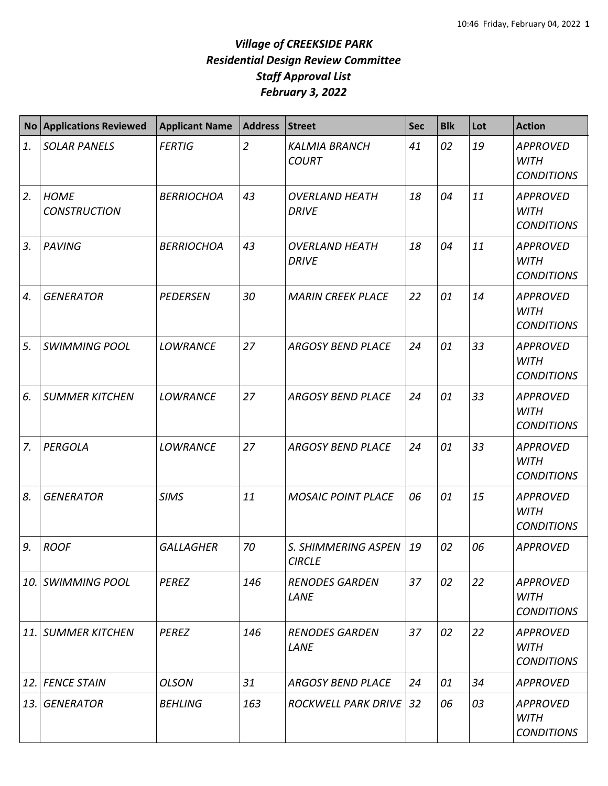| <b>No</b> | <b>Applications Reviewed</b>       | <b>Applicant Name</b> | <b>Address</b> | <b>Street</b>                         | <b>Sec</b> | <b>Blk</b> | Lot | <b>Action</b>                                       |
|-----------|------------------------------------|-----------------------|----------------|---------------------------------------|------------|------------|-----|-----------------------------------------------------|
| 1.        | <b>SOLAR PANELS</b>                | <b>FERTIG</b>         | $\overline{2}$ | <b>KALMIA BRANCH</b><br><b>COURT</b>  | 41         | 02         | 19  | <b>APPROVED</b><br><b>WITH</b><br><b>CONDITIONS</b> |
| 2.        | <b>HOME</b><br><b>CONSTRUCTION</b> | <b>BERRIOCHOA</b>     | 43             | <b>OVERLAND HEATH</b><br><b>DRIVE</b> | 18         | 04         | 11  | <b>APPROVED</b><br><b>WITH</b><br><b>CONDITIONS</b> |
| 3.        | <b>PAVING</b>                      | <b>BERRIOCHOA</b>     | 43             | <b>OVERLAND HEATH</b><br><b>DRIVE</b> | 18         | 04         | 11  | <b>APPROVED</b><br><b>WITH</b><br><b>CONDITIONS</b> |
| 4.        | <b>GENERATOR</b>                   | <b>PEDERSEN</b>       | 30             | <b>MARIN CREEK PLACE</b>              | 22         | 01         | 14  | <b>APPROVED</b><br><b>WITH</b><br><b>CONDITIONS</b> |
| 5.        | <b>SWIMMING POOL</b>               | <b>LOWRANCE</b>       | 27             | <b>ARGOSY BEND PLACE</b>              | 24         | 01         | 33  | <b>APPROVED</b><br><b>WITH</b><br><b>CONDITIONS</b> |
| 6.        | <b>SUMMER KITCHEN</b>              | <b>LOWRANCE</b>       | 27             | <b>ARGOSY BEND PLACE</b>              | 24         | 01         | 33  | <b>APPROVED</b><br><b>WITH</b><br><b>CONDITIONS</b> |
| 7.        | <b>PERGOLA</b>                     | <b>LOWRANCE</b>       | 27             | <b>ARGOSY BEND PLACE</b>              | 24         | 01         | 33  | <b>APPROVED</b><br><b>WITH</b><br><b>CONDITIONS</b> |
| 8.        | <b>GENERATOR</b>                   | <b>SIMS</b>           | 11             | <b>MOSAIC POINT PLACE</b>             | 06         | 01         | 15  | <b>APPROVED</b><br><b>WITH</b><br><b>CONDITIONS</b> |
| 9.        | <b>ROOF</b>                        | <b>GALLAGHER</b>      | 70             | S. SHIMMERING ASPEN<br><b>CIRCLE</b>  | 19         | 02         | 06  | <b>APPROVED</b>                                     |
|           | <b>10. SWIMMING POOL</b>           | <b>PEREZ</b>          | 146            | <b>RENODES GARDEN</b><br>LANE         | 37         | 02         | 22  | <b>APPROVED</b><br>WITH<br><b>CONDITIONS</b>        |
|           | 11. SUMMER KITCHEN                 | <b>PEREZ</b>          | 146            | <b>RENODES GARDEN</b><br>LANE         | 37         | 02         | 22  | <b>APPROVED</b><br>WITH<br><b>CONDITIONS</b>        |
|           | 12. FENCE STAIN                    | <b>OLSON</b>          | 31             | <b>ARGOSY BEND PLACE</b>              | 24         | 01         | 34  | <b>APPROVED</b>                                     |
| 13. I     | <b>GENERATOR</b>                   | <b>BEHLING</b>        | 163            | <b>ROCKWELL PARK DRIVE</b>            | 32         | 06         | 03  | <b>APPROVED</b><br>WITH<br><b>CONDITIONS</b>        |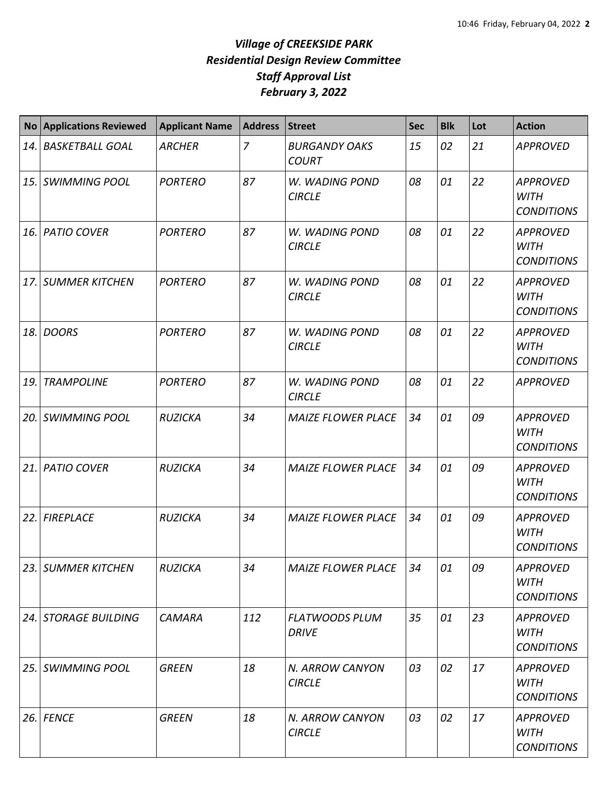| <b>No</b> | <b>Applications Reviewed</b> | <b>Applicant Name</b> | <b>Address</b> | <b>Street</b>                         | <b>Sec</b> | <b>Blk</b> | Lot | <b>Action</b>                                       |
|-----------|------------------------------|-----------------------|----------------|---------------------------------------|------------|------------|-----|-----------------------------------------------------|
| 14.       | <b>BASKETBALL GOAL</b>       | <b>ARCHER</b>         | 7              | <b>BURGANDY OAKS</b><br><b>COURT</b>  | 15         | 02         | 21  | <b>APPROVED</b>                                     |
| 15.       | <b>SWIMMING POOL</b>         | <b>PORTERO</b>        | 87             | W. WADING POND<br><b>CIRCLE</b>       | 08         | 01         | 22  | <b>APPROVED</b><br><b>WITH</b><br><b>CONDITIONS</b> |
| 16.       | <b>PATIO COVER</b>           | <b>PORTERO</b>        | 87             | W. WADING POND<br><b>CIRCLE</b>       | 08         | 01         | 22  | <b>APPROVED</b><br><b>WITH</b><br><b>CONDITIONS</b> |
| 17.       | <b>SUMMER KITCHEN</b>        | <b>PORTERO</b>        | 87             | W. WADING POND<br><b>CIRCLE</b>       | 08         | 01         | 22  | <b>APPROVED</b><br><b>WITH</b><br><b>CONDITIONS</b> |
| 18.       | <b>DOORS</b>                 | <b>PORTERO</b>        | 87             | W. WADING POND<br><b>CIRCLE</b>       | 08         | 01         | 22  | <b>APPROVED</b><br><b>WITH</b><br><b>CONDITIONS</b> |
| 19.       | <b>TRAMPOLINE</b>            | <b>PORTERO</b>        | 87             | W. WADING POND<br><b>CIRCLE</b>       | 08         | 01         | 22  | <b>APPROVED</b>                                     |
| 20.       | <b>SWIMMING POOL</b>         | <b>RUZICKA</b>        | 34             | <b>MAIZE FLOWER PLACE</b>             | 34         | 01         | 09  | <b>APPROVED</b><br><b>WITH</b><br><b>CONDITIONS</b> |
| 21.       | <b>PATIO COVER</b>           | <b>RUZICKA</b>        | 34             | <b>MAIZE FLOWER PLACE</b>             | 34         | 01         | 09  | <b>APPROVED</b><br><b>WITH</b><br><b>CONDITIONS</b> |
| 22.       | <b>FIREPLACE</b>             | <b>RUZICKA</b>        | 34             | <b>MAIZE FLOWER PLACE</b>             | 34         | 01         | 09  | <b>APPROVED</b><br><b>WITH</b><br><b>CONDITIONS</b> |
|           | 23. SUMMER KITCHEN           | <b>RUZICKA</b>        | 34             | <b>MAIZE FLOWER PLACE</b>             | 34         | 01         | 09  | <b>APPROVED</b><br>WITH<br><b>CONDITIONS</b>        |
|           | 24. STORAGE BUILDING         | <b>CAMARA</b>         | 112            | <b>FLATWOODS PLUM</b><br><b>DRIVE</b> | 35         | 01         | 23  | <b>APPROVED</b><br>WITH<br><b>CONDITIONS</b>        |
| 25.1      | <b>SWIMMING POOL</b>         | <b>GREEN</b>          | 18             | N. ARROW CANYON<br><b>CIRCLE</b>      | 03         | 02         | 17  | <b>APPROVED</b><br><b>WITH</b><br><b>CONDITIONS</b> |
| 26.       | <b>FENCE</b>                 | <b>GREEN</b>          | 18             | N. ARROW CANYON<br><b>CIRCLE</b>      | 03         | 02         | 17  | <b>APPROVED</b><br>WITH<br><b>CONDITIONS</b>        |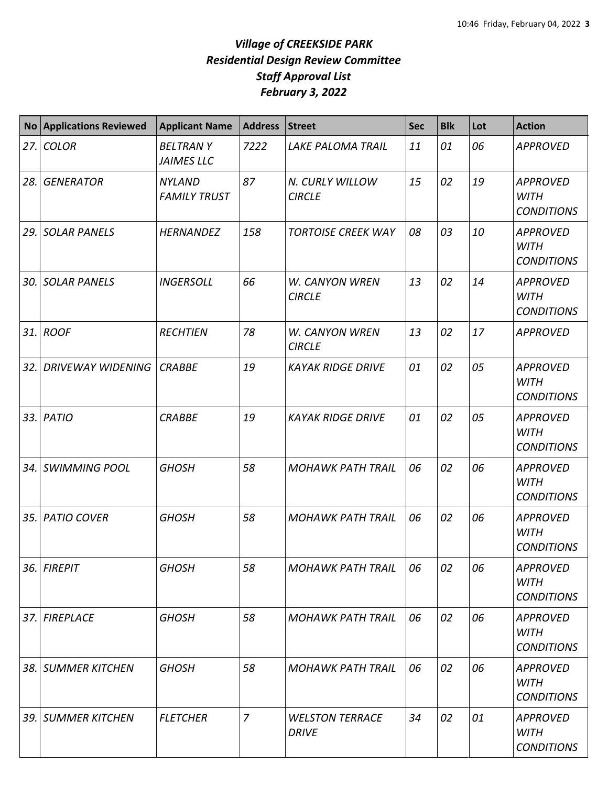| <b>No</b> | <b>Applications Reviewed</b> | <b>Applicant Name</b>                | <b>Address</b> | <b>Street</b>                          | <b>Sec</b> | <b>Blk</b> | Lot | <b>Action</b>                                       |
|-----------|------------------------------|--------------------------------------|----------------|----------------------------------------|------------|------------|-----|-----------------------------------------------------|
|           | 27. COLOR                    | <b>BELTRANY</b><br><b>JAIMES LLC</b> | 7222           | <b>LAKE PALOMA TRAIL</b>               | 11         | 01         | 06  | <b>APPROVED</b>                                     |
| 28.1      | <b>GENERATOR</b>             | <b>NYLAND</b><br><b>FAMILY TRUST</b> | 87             | N. CURLY WILLOW<br><b>CIRCLE</b>       | 15         | 02         | 19  | <b>APPROVED</b><br><b>WITH</b><br><b>CONDITIONS</b> |
|           | 29. SOLAR PANELS             | <b>HERNANDEZ</b>                     | 158            | <b>TORTOISE CREEK WAY</b>              | 08         | 03         | 10  | <b>APPROVED</b><br><b>WITH</b><br><b>CONDITIONS</b> |
| 30.       | <b>SOLAR PANELS</b>          | <b>INGERSOLL</b>                     | 66             | W. CANYON WREN<br><b>CIRCLE</b>        | 13         | 02         | 14  | <b>APPROVED</b><br><b>WITH</b><br><b>CONDITIONS</b> |
|           | 31. ROOF                     | <b>RECHTIEN</b>                      | 78             | <b>W. CANYON WREN</b><br><b>CIRCLE</b> | 13         | 02         | 17  | <b>APPROVED</b>                                     |
| 32. l     | <b>DRIVEWAY WIDENING</b>     | <b>CRABBE</b>                        | 19             | <b>KAYAK RIDGE DRIVE</b>               | 01         | 02         | 05  | <b>APPROVED</b><br><b>WITH</b><br><b>CONDITIONS</b> |
|           | 33. PATIO                    | <b>CRABBE</b>                        | 19             | <b>KAYAK RIDGE DRIVE</b>               | 01         | 02         | 05  | <b>APPROVED</b><br><b>WITH</b><br><b>CONDITIONS</b> |
|           | 34. SWIMMING POOL            | <b>GHOSH</b>                         | 58             | <b>MOHAWK PATH TRAIL</b>               | 06         | 02         | 06  | <b>APPROVED</b><br><b>WITH</b><br><b>CONDITIONS</b> |
|           | 35. PATIO COVER              | <b>GHOSH</b>                         | 58             | <b>MOHAWK PATH TRAIL</b>               | 06         | 02         | 06  | <b>APPROVED</b><br><b>WITH</b><br><b>CONDITIONS</b> |
|           | 36. FIREPIT                  | <b>GHOSH</b>                         | 58             | <b>MOHAWK PATH TRAIL</b>               | 06         | 02         | 06  | <b>APPROVED</b><br><b>WITH</b><br><b>CONDITIONS</b> |
|           | 37. FIREPLACE                | <b>GHOSH</b>                         | 58             | <b>MOHAWK PATH TRAIL</b>               | 06         | 02         | 06  | <b>APPROVED</b><br><b>WITH</b><br><b>CONDITIONS</b> |
|           | 38. SUMMER KITCHEN           | <b>GHOSH</b>                         | 58             | <b>MOHAWK PATH TRAIL</b>               | 06         | 02         | 06  | <b>APPROVED</b><br><b>WITH</b><br><b>CONDITIONS</b> |
|           | 39. SUMMER KITCHEN           | <b>FLETCHER</b>                      | 7              | <b>WELSTON TERRACE</b><br><b>DRIVE</b> | 34         | 02         | 01  | APPROVED<br><b>WITH</b><br><b>CONDITIONS</b>        |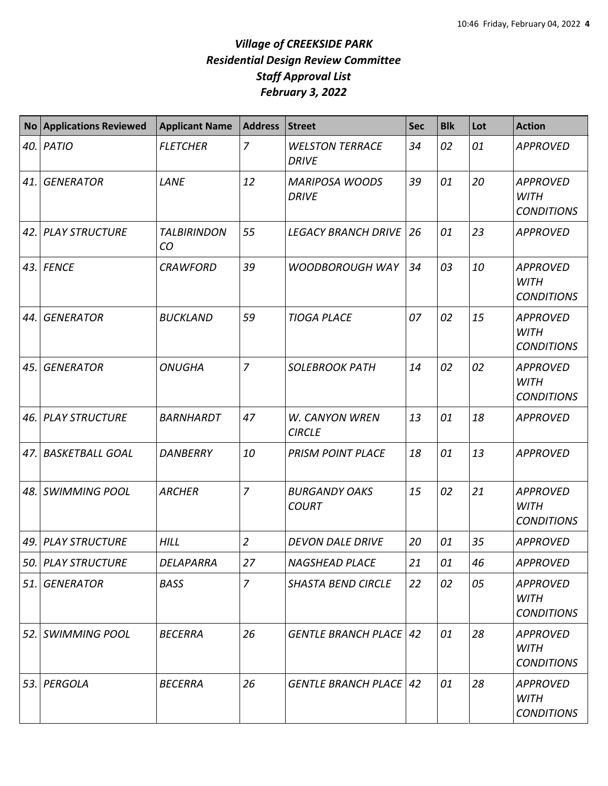| <b>No</b> | <b>Applications Reviewed</b> | <b>Applicant Name</b>    | <b>Address</b> | <b>Street</b>                          | <b>Sec</b> | <b>Blk</b> | Lot | <b>Action</b>                                       |
|-----------|------------------------------|--------------------------|----------------|----------------------------------------|------------|------------|-----|-----------------------------------------------------|
| 40.       | PATIO                        | <b>FLETCHER</b>          | $\overline{7}$ | <b>WELSTON TERRACE</b><br><b>DRIVE</b> | 34         | 02         | 01  | <b>APPROVED</b>                                     |
| 41.       | <b>GENERATOR</b>             | LANE                     | 12             | <b>MARIPOSA WOODS</b><br><b>DRIVE</b>  | 39         | 01         | 20  | <b>APPROVED</b><br><b>WITH</b><br><b>CONDITIONS</b> |
| 42.       | <b>PLAY STRUCTURE</b>        | <b>TALBIRINDON</b><br>CO | 55             | <b>LEGACY BRANCH DRIVE</b>             | 26         | 01         | 23  | <b>APPROVED</b>                                     |
|           | 43. FENCE                    | <b>CRAWFORD</b>          | 39             | <b>WOODBOROUGH WAY</b>                 | 34         | 03         | 10  | <b>APPROVED</b><br><b>WITH</b><br><b>CONDITIONS</b> |
| 44.       | <b>GENERATOR</b>             | <b>BUCKLAND</b>          | 59             | <b>TIOGA PLACE</b>                     | 07         | 02         | 15  | <b>APPROVED</b><br><b>WITH</b><br><b>CONDITIONS</b> |
| 45.       | <b>GENERATOR</b>             | <b>ONUGHA</b>            | $\overline{7}$ | <b>SOLEBROOK PATH</b>                  | 14         | 02         | 02  | <b>APPROVED</b><br><b>WITH</b><br><b>CONDITIONS</b> |
| 46.       | <b>PLAY STRUCTURE</b>        | BARNHARDT                | 47             | W. CANYON WREN<br><b>CIRCLE</b>        | 13         | 01         | 18  | <b>APPROVED</b>                                     |
| 47.       | <b>BASKETBALL GOAL</b>       | DANBERRY                 | 10             | <b>PRISM POINT PLACE</b>               | 18         | 01         | 13  | <b>APPROVED</b>                                     |
| 48.       | <b>SWIMMING POOL</b>         | <b>ARCHER</b>            | $\overline{7}$ | <b>BURGANDY OAKS</b><br><b>COURT</b>   | 15         | 02         | 21  | <b>APPROVED</b><br><b>WITH</b><br><b>CONDITIONS</b> |
| 49.       | <b>PLAY STRUCTURE</b>        | <b>HILL</b>              | $\overline{2}$ | <b>DEVON DALE DRIVE</b>                | 20         | 01         | 35  | <b>APPROVED</b>                                     |
|           | 50. PLAY STRUCTURE           | DELAPARRA                | 27             | <b>NAGSHEAD PLACE</b>                  | 21         | 01         | 46  | <b>APPROVED</b>                                     |
| 51.       | <b>GENERATOR</b>             | <b>BASS</b>              | 7              | <b>SHASTA BEND CIRCLE</b>              | 22         | 02         | 05  | <b>APPROVED</b><br><b>WITH</b><br><b>CONDITIONS</b> |
| 52.       | <b>SWIMMING POOL</b>         | <b>BECERRA</b>           | 26             | <b>GENTLE BRANCH PLACE 42</b>          |            | 01         | 28  | <b>APPROVED</b><br><b>WITH</b><br><b>CONDITIONS</b> |
| 53.       | PERGOLA                      | <b>BECERRA</b>           | 26             | <b>GENTLE BRANCH PLACE   42</b>        |            | 01         | 28  | <b>APPROVED</b><br><b>WITH</b><br><b>CONDITIONS</b> |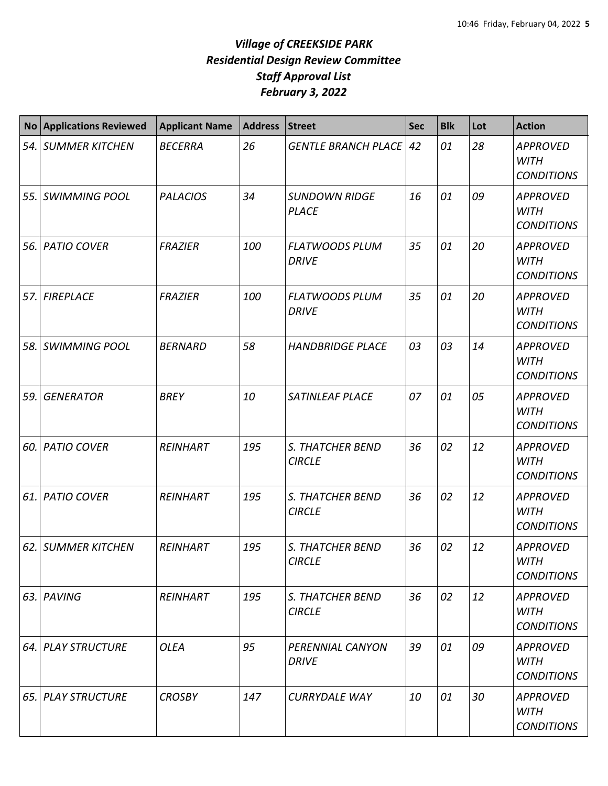| <b>No</b> | <b>Applications Reviewed</b> | <b>Applicant Name</b> | <b>Address</b> | <b>Street</b>                            | Sec | <b>Blk</b> | Lot | <b>Action</b>                                       |
|-----------|------------------------------|-----------------------|----------------|------------------------------------------|-----|------------|-----|-----------------------------------------------------|
|           | 54. SUMMER KITCHEN           | <b>BECERRA</b>        | 26             | <b>GENTLE BRANCH PLACE</b>               | 42  | 01         | 28  | <b>APPROVED</b><br><b>WITH</b><br><b>CONDITIONS</b> |
|           | 55. SWIMMING POOL            | <b>PALACIOS</b>       | 34             | <b>SUNDOWN RIDGE</b><br><b>PLACE</b>     | 16  | 01         | 09  | <b>APPROVED</b><br><b>WITH</b><br><b>CONDITIONS</b> |
| 56. l     | <b>PATIO COVER</b>           | <b>FRAZIER</b>        | 100            | <b>FLATWOODS PLUM</b><br><b>DRIVE</b>    | 35  | 01         | 20  | <b>APPROVED</b><br><b>WITH</b><br><b>CONDITIONS</b> |
| 57.       | <b>FIREPLACE</b>             | <b>FRAZIER</b>        | 100            | <b>FLATWOODS PLUM</b><br><b>DRIVE</b>    | 35  | 01         | 20  | <b>APPROVED</b><br><b>WITH</b><br><b>CONDITIONS</b> |
|           | 58. SWIMMING POOL            | <b>BERNARD</b>        | 58             | <b>HANDBRIDGE PLACE</b>                  | 03  | 03         | 14  | <b>APPROVED</b><br><b>WITH</b><br><b>CONDITIONS</b> |
| 59.       | <b>GENERATOR</b>             | <b>BREY</b>           | 10             | SATINLEAF PLACE                          | 07  | 01         | 05  | <b>APPROVED</b><br><b>WITH</b><br><b>CONDITIONS</b> |
| 60.l      | <b>PATIO COVER</b>           | <b>REINHART</b>       | 195            | S. THATCHER BEND<br><b>CIRCLE</b>        | 36  | 02         | 12  | <b>APPROVED</b><br><b>WITH</b><br><b>CONDITIONS</b> |
| 61.       | <b>PATIO COVER</b>           | <b>REINHART</b>       | 195            | S. THATCHER BEND<br><b>CIRCLE</b>        | 36  | 02         | 12  | <b>APPROVED</b><br><b>WITH</b><br><b>CONDITIONS</b> |
|           | 62. SUMMER KITCHEN           | <b>REINHART</b>       | 195            | <b>S. THATCHER BEND</b><br><b>CIRCLE</b> | 36  | 02         | 12  | <b>APPROVED</b><br><b>WITH</b><br><b>CONDITIONS</b> |
|           | 63. PAVING                   | <b>REINHART</b>       | 195            | S. THATCHER BEND<br><b>CIRCLE</b>        | 36  | 02         | 12  | <b>APPROVED</b><br><b>WITH</b><br><b>CONDITIONS</b> |
|           | 64. PLAY STRUCTURE           | <b>OLEA</b>           | 95             | PERENNIAL CANYON<br><b>DRIVE</b>         | 39  | 01         | 09  | <b>APPROVED</b><br><b>WITH</b><br><b>CONDITIONS</b> |
| 65. l     | <b>PLAY STRUCTURE</b>        | <b>CROSBY</b>         | 147            | <b>CURRYDALE WAY</b>                     | 10  | 01         | 30  | <b>APPROVED</b><br><b>WITH</b><br><b>CONDITIONS</b> |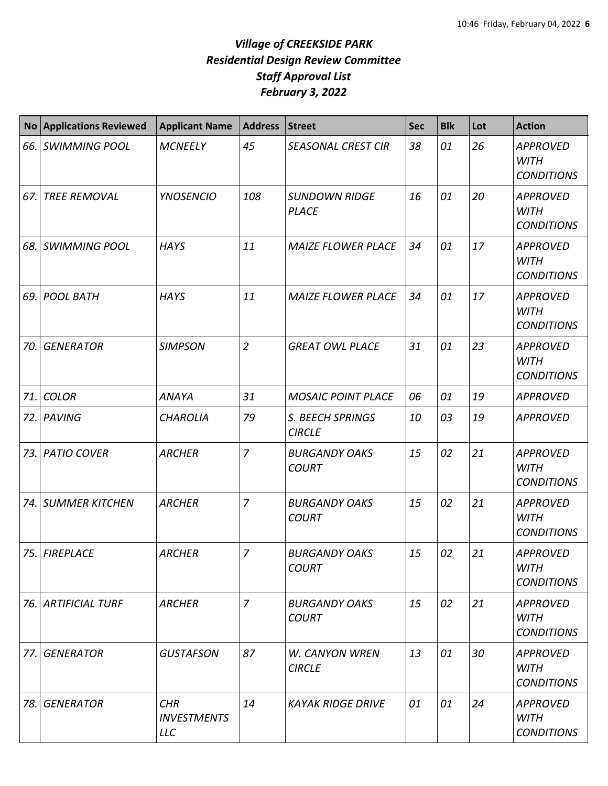| No  | <b>Applications Reviewed</b> | <b>Applicant Name</b>                          | <b>Address</b> | <b>Street</b>                          | Sec | <b>Blk</b> | Lot | <b>Action</b>                                       |
|-----|------------------------------|------------------------------------------------|----------------|----------------------------------------|-----|------------|-----|-----------------------------------------------------|
|     | 66. SWIMMING POOL            | <b>MCNEELY</b>                                 | 45             | <b>SEASONAL CREST CIR</b>              | 38  | 01         | 26  | <b>APPROVED</b><br><b>WITH</b><br><b>CONDITIONS</b> |
| 67. | <b>TREE REMOVAL</b>          | <b>YNOSENCIO</b>                               | 108            | <b>SUNDOWN RIDGE</b><br><b>PLACE</b>   | 16  | 01         | 20  | <b>APPROVED</b><br><b>WITH</b><br><b>CONDITIONS</b> |
| 68. | <b>SWIMMING POOL</b>         | <b>HAYS</b>                                    | 11             | <b>MAIZE FLOWER PLACE</b>              | 34  | 01         | 17  | <b>APPROVED</b><br><b>WITH</b><br><b>CONDITIONS</b> |
| 69. | <b>POOL BATH</b>             | <b>HAYS</b>                                    | 11             | <b>MAIZE FLOWER PLACE</b>              | 34  | 01         | 17  | <b>APPROVED</b><br><b>WITH</b><br><b>CONDITIONS</b> |
| 70. | <b>GENERATOR</b>             | <b>SIMPSON</b>                                 | $\overline{2}$ | <b>GREAT OWL PLACE</b>                 | 31  | 01         | 23  | <b>APPROVED</b><br><b>WITH</b><br><b>CONDITIONS</b> |
| 71. | <b>COLOR</b>                 | <b>ANAYA</b>                                   | 31             | <b>MOSAIC POINT PLACE</b>              | 06  | 01         | 19  | <b>APPROVED</b>                                     |
|     | 72. PAVING                   | <b>CHAROLIA</b>                                | 79             | S. BEECH SPRINGS<br><b>CIRCLE</b>      | 10  | 03         | 19  | <b>APPROVED</b>                                     |
|     | 73. PATIO COVER              | <b>ARCHER</b>                                  | 7              | <b>BURGANDY OAKS</b><br><b>COURT</b>   | 15  | 02         | 21  | <b>APPROVED</b><br><b>WITH</b><br><b>CONDITIONS</b> |
|     | 74. SUMMER KITCHEN           | <b>ARCHER</b>                                  | 7              | <b>BURGANDY OAKS</b><br><b>COURT</b>   | 15  | 02         | 21  | <b>APPROVED</b><br><b>WITH</b><br><b>CONDITIONS</b> |
|     | 75. FIREPLACE                | <b>ARCHER</b>                                  | 7              | <b>BURGANDY OAKS</b><br><b>COURT</b>   | 15  | 02         | 21  | <b>APPROVED</b><br><b>WITH</b><br><b>CONDITIONS</b> |
|     | 76. ARTIFICIAL TURF          | <b>ARCHER</b>                                  | $\overline{7}$ | <b>BURGANDY OAKS</b><br><b>COURT</b>   | 15  | 02         | 21  | <b>APPROVED</b><br>WITH<br><b>CONDITIONS</b>        |
| 77. | <b>GENERATOR</b>             | <b>GUSTAFSON</b>                               | 87             | <b>W. CANYON WREN</b><br><b>CIRCLE</b> | 13  | 01         | 30  | <b>APPROVED</b><br><b>WITH</b><br><b>CONDITIONS</b> |
| 78. | <b>GENERATOR</b>             | <b>CHR</b><br><b>INVESTMENTS</b><br><b>LLC</b> | 14             | <b>KAYAK RIDGE DRIVE</b>               | 01  | 01         | 24  | <b>APPROVED</b><br>WITH<br><b>CONDITIONS</b>        |